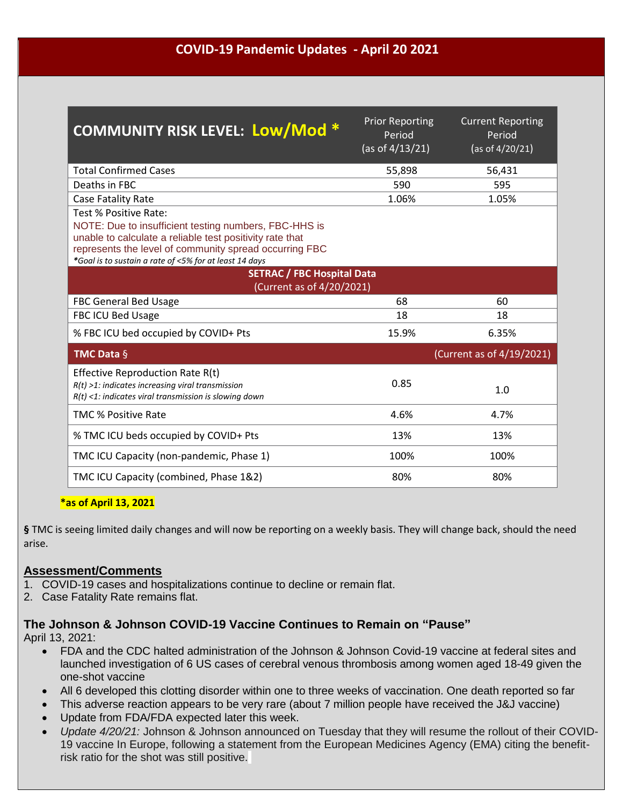### **COVID-19 Pandemic Updates - April 20 2021**

| <b>COMMUNITY RISK LEVEL: Low/Mod *</b>                                                                                                                                                                                                                         | <b>Prior Reporting</b><br>Period<br>(as of $4/13/21$ ) | <b>Current Reporting</b><br>Period<br>(as of 4/20/21) |
|----------------------------------------------------------------------------------------------------------------------------------------------------------------------------------------------------------------------------------------------------------------|--------------------------------------------------------|-------------------------------------------------------|
| <b>Total Confirmed Cases</b>                                                                                                                                                                                                                                   | 55,898                                                 | 56,431                                                |
| Deaths in FBC                                                                                                                                                                                                                                                  | 590                                                    | 595                                                   |
| Case Fatality Rate                                                                                                                                                                                                                                             | 1.06%                                                  | 1.05%                                                 |
| Test % Positive Rate:<br>NOTE: Due to insufficient testing numbers, FBC-HHS is<br>unable to calculate a reliable test positivity rate that<br>represents the level of community spread occurring FBC<br>*Goal is to sustain a rate of <5% for at least 14 days |                                                        |                                                       |
| <b>SETRAC / FBC Hospital Data</b><br>(Current as of 4/20/2021)                                                                                                                                                                                                 |                                                        |                                                       |
| <b>FBC General Bed Usage</b>                                                                                                                                                                                                                                   | 68                                                     | 60                                                    |
| FBC ICU Bed Usage                                                                                                                                                                                                                                              | 18                                                     | 18                                                    |
| % FBC ICU bed occupied by COVID+ Pts                                                                                                                                                                                                                           | 15.9%                                                  | 6.35%                                                 |
| <b>TMC Data <math>\S</math></b>                                                                                                                                                                                                                                |                                                        | (Current as of 4/19/2021)                             |
| Effective Reproduction Rate R(t)<br>$R(t)$ >1: indicates increasing viral transmission<br>$R(t)$ <1: indicates viral transmission is slowing down                                                                                                              | 0.85                                                   | 1.0                                                   |
| <b>TMC % Positive Rate</b>                                                                                                                                                                                                                                     | 4.6%                                                   | 4.7%                                                  |
| % TMC ICU beds occupied by COVID+ Pts                                                                                                                                                                                                                          | 13%                                                    | 13%                                                   |
| TMC ICU Capacity (non-pandemic, Phase 1)                                                                                                                                                                                                                       | 100%                                                   | 100%                                                  |
| TMC ICU Capacity (combined, Phase 1&2)                                                                                                                                                                                                                         | 80%                                                    | 80%                                                   |

#### **\*as of April 13, 2021**

**§** TMC is seeing limited daily changes and will now be reporting on a weekly basis. They will change back, should the need arise.

#### **Assessment/Comments**

- 1. COVID-19 cases and hospitalizations continue to decline or remain flat.
- 2. Case Fatality Rate remains flat.

#### **The Johnson & Johnson COVID-19 Vaccine Continues to Remain on "Pause"**

[April 13, 2021:](https://click.email.hcplive.com/?qs=621828ebd773ff8956d5ca7d4918e032722bdab3a4ef9c3dcfe40e2c43a547dd05d6f7e424a6075f2dadd8c0e6cdce70621a3a0dcd550548)

- FDA and the CDC halted administration of the Johnson & Johnson Covid-19 vaccine at federal sites and launched investigation of 6 US cases of cerebral venous thrombosis among women aged 18-49 given the one-shot vaccine
- All 6 developed this clotting disorder within one to three weeks of vaccination. One death reported so far
- This adverse reaction appears to be very rare (about 7 million people have received the J&J vaccine)
- Update from FDA/FDA expected later this week.
- *Update 4/20/21:* Johnson & Johnson announced on Tuesday that they will resume the rollout of their COVID-19 vaccine In Europe, following a statement from the European Medicines Agency (EMA) citing the benefitrisk ratio for the shot was still positive.